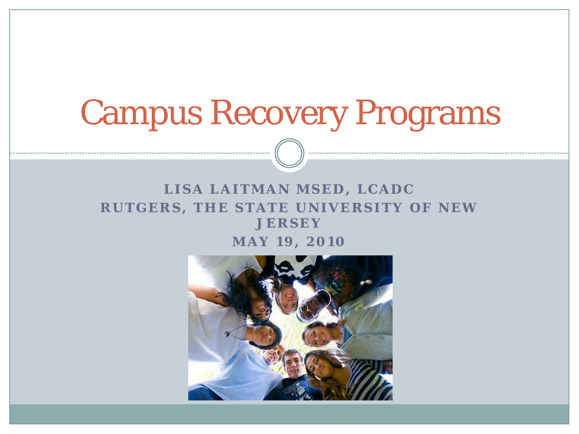# Campus Recovery Programs

#### **LISA LAITMAN MSED, LCADC RUTGERS, THE STATE UNIVERSITY OF NEW JERSEY**

**MAY 19, 2010**

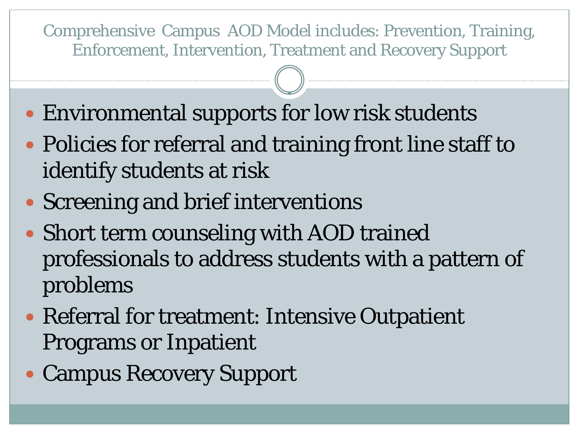Comprehensive Campus AOD Model includes: Prevention, Training, Enforcement, Intervention, Treatment and Recovery Support

- Environmental supports for low risk students
- Policies for referral and training front line staff to identify students at risk
- Screening and brief interventions
- Short term counseling with AOD trained professionals to address students with a pattern of problems
- Referral for treatment: Intensive Outpatient Programs or Inpatient
- Campus Recovery Support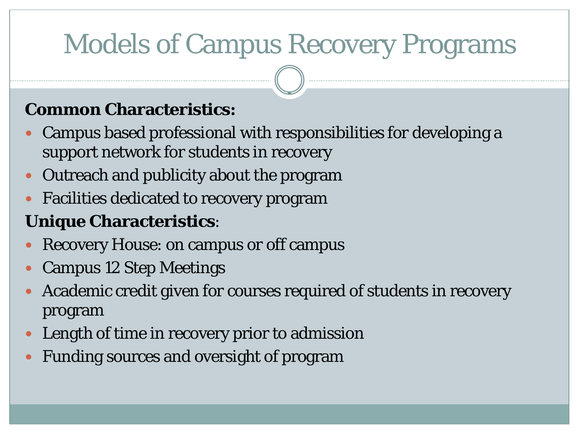# Models of Campus Recovery Programs

#### **Common Characteristics:**

- Campus based professional with responsibilities for developing a support network for students in recovery
- Outreach and publicity about the program
- Facilities dedicated to recovery program

#### **Unique Characteristics**:

- Recovery House: on campus or off campus
- Campus 12 Step Meetings
- Academic credit given for courses required of students in recovery program
- Length of time in recovery prior to admission
- Funding sources and oversight of program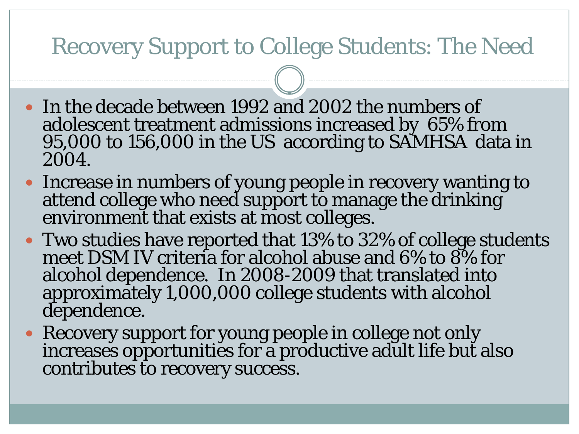### Recovery Support to College Students: The Need

- In the decade between 1992 and 2002 the numbers of adolescent treatment admissions increased by 65% from 95,000 to 156,000 in the US according to SAMHSA data in 2004.
- Increase in numbers of young people in recovery wanting to attend college who need support to manage the drinking environment that exists at most colleges.
- Two studies have reported that 13% to 32% of college students meet DSM IV criteria for alcohol abuse and 6% to 8% for alcohol dependence. In 2008-2009 that translated into approximately 1,000,000 college students with alcohol dependence.
- Recovery support for young people in college not only increases opportunities for a productive adult life but also contributes to recovery success.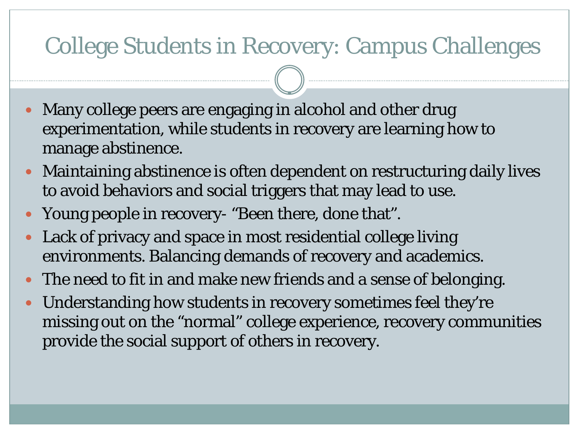### College Students in Recovery: Campus Challenges

- Many college peers are engaging in alcohol and other drug experimentation, while students in recovery are learning how to manage abstinence.
- Maintaining abstinence is often dependent on restructuring daily lives to avoid behaviors and social triggers that may lead to use.
- Young people in recovery- "Been there, done that".
- Lack of privacy and space in most residential college living environments. Balancing demands of recovery and academics.
- The need to fit in and make new friends and a sense of belonging.
- Understanding how students in recovery sometimes feel they're missing out on the "normal" college experience, recovery communities provide the social support of others in recovery.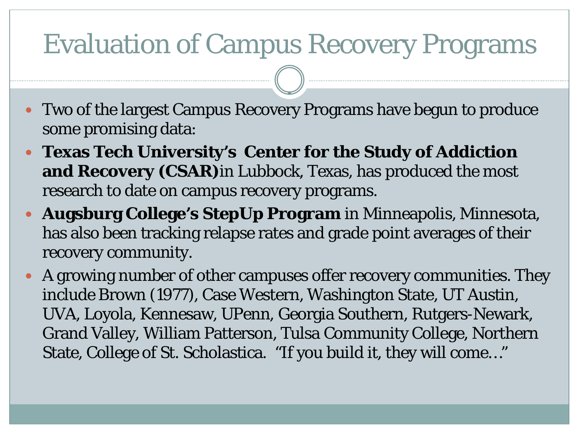### Evaluation of Campus Recovery Programs

- Two of the largest Campus Recovery Programs have begun to produce some promising data:
- **Texas Tech University's Center for the Study of Addiction and Recovery (CSAR)**in Lubbock, Texas, has produced the most research to date on campus recovery programs.
- **Augsburg College's StepUp Program** in Minneapolis, Minnesota, has also been tracking relapse rates and grade point averages of their recovery community.
- A growing number of other campuses offer recovery communities. They include Brown (1977), Case Western, Washington State, UT Austin, UVA, Loyola, Kennesaw, UPenn, Georgia Southern, Rutgers-Newark, Grand Valley, William Patterson, Tulsa Community College, Northern State, College of St. Scholastica. "If you build it, they will come…"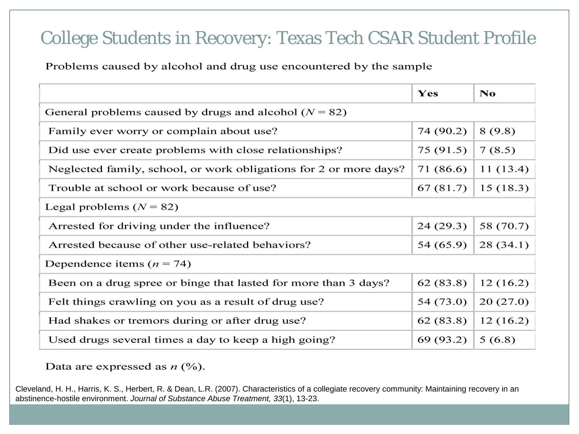#### College Students in Recovery: Texas Tech CSAR Student Profile

Problems caused by alcohol and drug use encountered by the sample

|                                                                   | Yes       | No        |  |  |  |
|-------------------------------------------------------------------|-----------|-----------|--|--|--|
| General problems caused by drugs and alcohol ( $N = 82$ )         |           |           |  |  |  |
| Family ever worry or complain about use?                          | 74 (90.2) | 8(9.8)    |  |  |  |
| Did use ever create problems with close relationships?            | 75 (91.5) | 7(8.5)    |  |  |  |
| Neglected family, school, or work obligations for 2 or more days? | 71 (86.6) | 11(13.4)  |  |  |  |
| Trouble at school or work because of use?                         | 67 (81.7) | 15(18.3)  |  |  |  |
| Legal problems $(N = 82)$                                         |           |           |  |  |  |
| Arrested for driving under the influence?                         | 24 (29.3) | 58 (70.7) |  |  |  |
| Arrested because of other use-related behaviors?                  | 54 (65.9) | 28(34.1)  |  |  |  |
| Dependence items ( $n = 74$ )                                     |           |           |  |  |  |
| Been on a drug spree or binge that lasted for more than 3 days?   | 62(83.8)  | 12(16.2)  |  |  |  |
| Felt things crawling on you as a result of drug use?              | 54 (73.0) | 20(27.0)  |  |  |  |
| Had shakes or tremors during or after drug use?                   | 62(83.8)  | 12(16.2)  |  |  |  |
| Used drugs several times a day to keep a high going?              | 69 (93.2) | 5(6.8)    |  |  |  |

Data are expressed as  $n$  (%).

Cleveland, H. H., Harris, K. S., Herbert, R. & Dean, L.R. (2007). Characteristics of a collegiate recovery community: Maintaining recovery in an abstinence-hostile environment. *Journal of Substance Abuse Treatment, 33*(1), 13-23.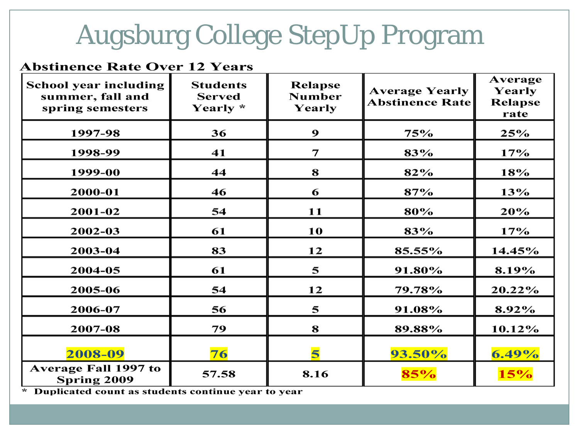## Augsburg College StepUp Program

#### **Abstinence Rate Over 12 Years**

| <b>School year including</b><br>summer, fall and<br>spring semesters | <b>Students</b><br><b>Served</b><br>Yearly * | <b>Relapse</b><br><b>Number</b><br>Yearly | <b>Average Yearly</b><br><b>Abstinence Rate</b> | Average<br>Yearly<br><b>Relapse</b><br>rate |
|----------------------------------------------------------------------|----------------------------------------------|-------------------------------------------|-------------------------------------------------|---------------------------------------------|
| 1997-98                                                              | 36                                           | 9                                         | 75%                                             | 25%                                         |
| 1998-99                                                              | 41                                           | 7                                         | 83%                                             | 17%                                         |
| 1999-00                                                              | 44                                           | 8                                         | 82%                                             | 18%                                         |
| 2000-01                                                              | 46                                           | 6                                         | 87%                                             | 13%                                         |
| 2001-02                                                              | 54                                           | 11                                        | 80%                                             | 20%                                         |
| 2002-03                                                              | 61                                           | 10                                        | 83%                                             | 17%                                         |
| 2003-04                                                              | 83                                           | 12                                        | 85.55%                                          | 14.45%                                      |
| 2004-05                                                              | 61                                           | 5                                         | 91.80%                                          | 8.19%                                       |
| 2005-06                                                              | 54                                           | 12                                        | 79.78%                                          | 20.22%                                      |
| 2006-07                                                              | 56                                           | 5                                         | 91.08%                                          | 8.92%                                       |
| 2007-08                                                              | 79                                           | 8                                         | 89.88%                                          | 10.12%                                      |
| 2008-09                                                              | 76                                           | 5                                         | $93.50\%$                                       | $6.49\%$                                    |
| <b>Average Fall 1997 to</b><br>Spring 2009                           | 57.58                                        | 8.16                                      | 85%                                             | 15%                                         |

\* Duplicated count as students continue year to year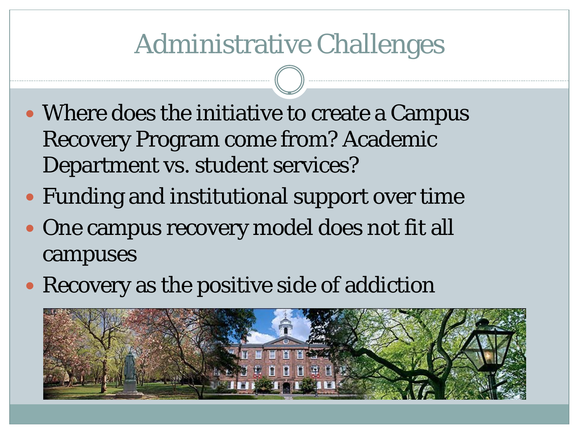### Administrative Challenges

- Where does the initiative to create a Campus Recovery Program come from? Academic Department vs. student services?
- Funding and institutional support over time
- One campus recovery model does not fit all campuses
- Recovery as the positive side of addiction

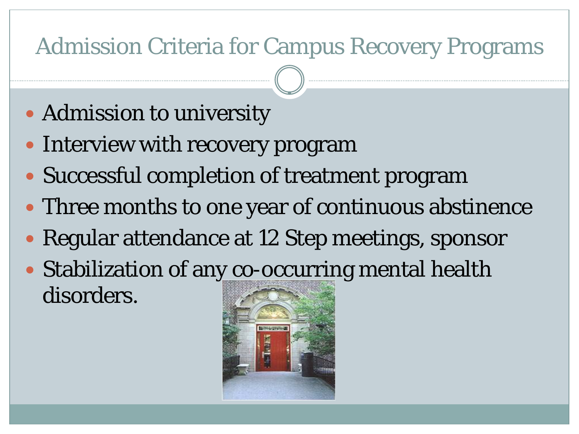### Admission Criteria for Campus Recovery Programs

- Admission to university
- Interview with recovery program
- Successful completion of treatment program
- Three months to one year of continuous abstinence
- Regular attendance at 12 Step meetings, sponsor
- Stabilization of any co-occurring mental health disorders.

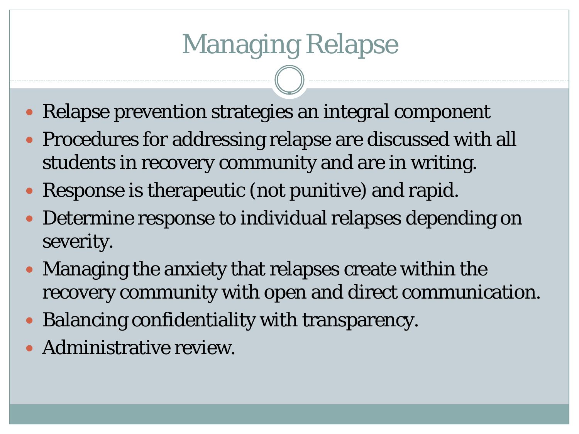- Relapse prevention strategies an integral component
- Procedures for addressing relapse are discussed with all students in recovery community and are in writing.
- Response is therapeutic (not punitive) and rapid.
- Determine response to individual relapses depending on severity.
- Managing the anxiety that relapses create within the recovery community with open and direct communication.
- Balancing confidentiality with transparency.
- Administrative review.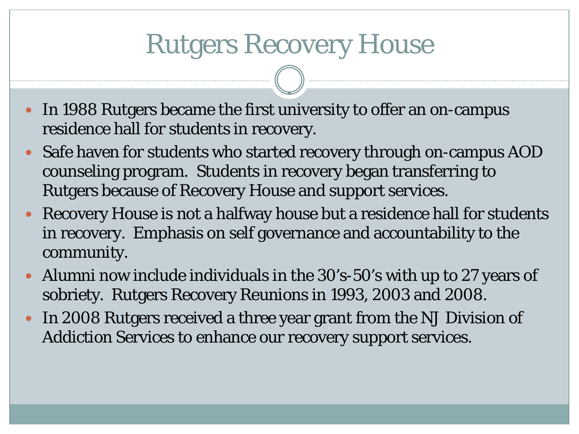### Rutgers Recovery House

- In 1988 Rutgers became the first university to offer an on-campus residence hall for students in recovery.
- Safe haven for students who started recovery through on-campus AOD counseling program. Students in recovery began transferring to Rutgers because of Recovery House and support services.
- Recovery House is not a halfway house but a residence hall for students in recovery. Emphasis on self governance and accountability to the community.
- Alumni now include individuals in the 30's-50's with up to 27 years of sobriety. Rutgers Recovery Reunions in 1993, 2003 and 2008.
- In 2008 Rutgers received a three year grant from the NJ Division of Addiction Services to enhance our recovery support services.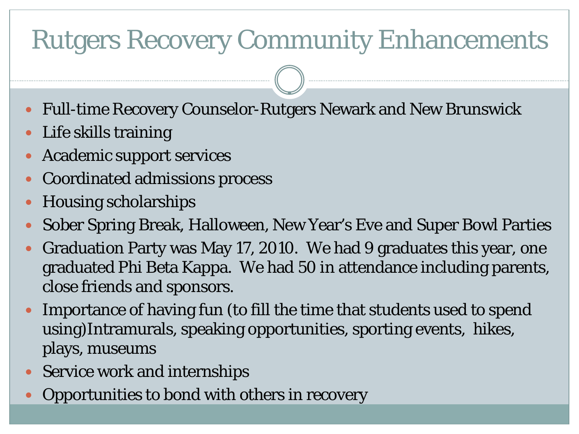# Rutgers Recovery Community Enhancements

- Full-time Recovery Counselor-Rutgers Newark and New Brunswick
- Life skills training
- Academic support services
- Coordinated admissions process
- Housing scholarships
- Sober Spring Break, Halloween, New Year's Eve and Super Bowl Parties
- Graduation Party was May 17, 2010. We had 9 graduates this year, one graduated Phi Beta Kappa. We had 50 in attendance including parents, close friends and sponsors.
- Importance of having fun (to fill the time that students used to spend using)Intramurals, speaking opportunities, sporting events, hikes, plays, museums
- Service work and internships
- Opportunities to bond with others in recovery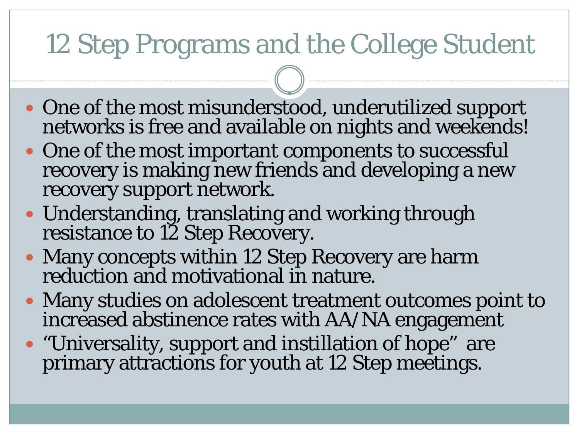# 12 Step Programs and the College Student

- One of the most misunderstood, underutilized support networks is free and available on nights and weekends!
- One of the most important components to successful recovery is making new friends and developing a new recovery support network.
- Understanding, translating and working through resistance to 12 Step Recovery.
- Many concepts within 12 Step Recovery are harm reduction and motivational in nature.
- Many studies on adolescent treatment outcomes point to increased abstinence rates with AA/NA engagement
- "Universality, support and instillation of hope" are primary attractions for youth at 12 Step meetings.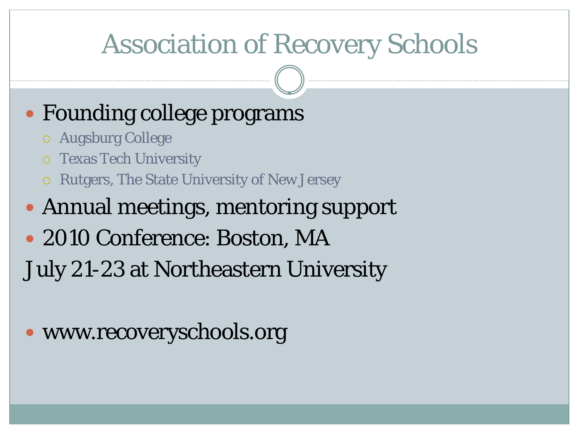### Association of Recovery Schools

### • Founding college programs

- Augsburg College
- Texas Tech University
- Rutgers, The State University of New Jersey

### Annual meetings, mentoring support

• 2010 Conference: Boston, MA

July 21-23 at Northeastern University

### • www.recoveryschools.org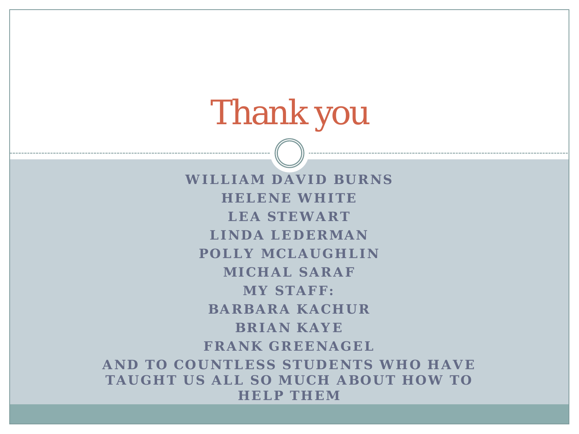# Thank you

**WILLIAM DAVID BURNS HELENE WHITE LEA STEWART LINDA LEDERMAN POLLY MCLAUGHLIN MICHAL SARAF MY STAFF: BARBARA KACHUR BRIAN KAYE FRANK GREENAGEL AND TO COUNTLESS STUDENTS WHO HAVE TAUGHT US ALL SO MUCH ABOUT HOW TO HELP THEM**